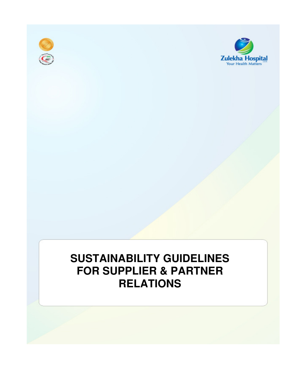



# **SUSTAINABILITY GUIDELINES FOR SUPPLIER & PARTNER RELATIONS**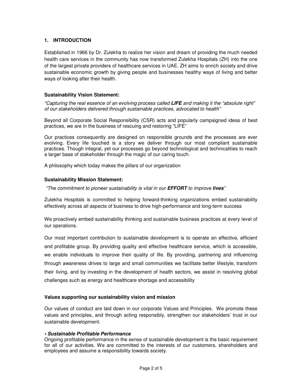# **1. INTRODUCTION**

Established in 1966 by Dr. Zulekha to realize her vision and dream of providing the much needed health care services in the community has now transformed Zulekha Hospitals (ZH) into the one of the largest private providers of healthcare services in UAE. ZH aims to enrich society and drive sustainable economic growth by giving people and businesses healthy ways of living and better ways of looking after their health.

# **Sustainability Vision Statement:**

"Capturing the real essence of an evolving process called **LIFE** and making it the "absolute right" of our stakeholders delivered through sustainable practices, advocated to health"

Beyond all Corporate Social Responsibility (CSR) acts and popularly campaigned ideas of best practices, we are in the business of rescuing and restoring "LIFE"

Our practices consequently are designed on responsible grounds and the processes are ever evolving. Every life touched is a story we deliver through our most compliant sustainable practices. Though integral, yet our processes go beyond technological and technicalities to reach a larger base of stakeholder through the magic of our caring touch.

A philosophy which today makes the pillars of our organization

# **Sustainability Mission Statement:**

"The commitment to pioneer sustainability is vital in our **EFFORT** to improve **lives**"

Zulekha Hospitals is committed to helping forward-thinking organizations embed sustainability effectively across all aspects of business to drive high-performance and long-term success

We proactively embed sustainability thinking and sustainable business practices at every level of our operations.

Our most important contribution to sustainable development is to operate an effective, efficient and profitable group. By providing quality and effective healthcare service, which is accessible, we enable individuals to improve their quality of life. By providing, partnering and influencing through awareness drives to large and small communities we facilitate better lifestyle, transform their living, and by investing in the development of health sectors, we assist in resolving global challenges such as energy and healthcare shortage and accessibility

#### **Values supporting our sustainability vision and mission**

Our values of conduct are laid down in our corporate Values and Principles. We promote these values and principles, and through acting responsibly, strengthen our stakeholders' trust in our sustainable development.

#### **• Sustainable Profitable Performance**

Ongoing profitable performance in the sense of sustainable development is the basic requirement for all of our activities. We are committed to the interests of our customers, shareholders and employees and assume a responsibility towards society.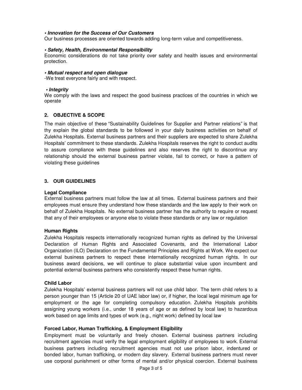#### **• Innovation for the Success of Our Customers**

Our business processes are oriented towards adding long-term value and competitiveness.

#### **• Safety, Health, Environmental Responsibility**

Economic considerations do not take priority over safety and health issues and environmental protection.

#### **• Mutual respect and open dialogue**

-We treat everyone fairly and with respect.

#### **• Integrity**

We comply with the laws and respect the good business practices of the countries in which we operate

# **2. OBJECTIVE & SCOPE**

The main objective of these "Sustainability Guidelines for Supplier and Partner relations" is that thy explain the global standards to be followed in your daily business activities on behalf of Zulekha Hospitals. External business partners and their suppliers are expected to share Zulekha Hospitals' commitment to these standards. Zulekha Hospitals reserves the right to conduct audits to assure compliance with these guidelines and also reserves the right to discontinue any relationship should the external business partner violate, fail to correct, or have a pattern of violating these guidelines

# **3. OUR GUIDELINES**

#### **Legal Compliance**

External business partners must follow the law at all times. External business partners and their employees must ensure they understand how these standards and the law apply to their work on behalf of Zulekha Hospitals. No external business partner has the authority to require or request that any of their employees or anyone else to violate these standards or any law or regulation

#### **Human Rights**

Zulekha Hospitals respects internationally recognized human rights as defined by the Universal Declaration of Human Rights and Associated Covenants, and the International Labor Organization (ILO) Declaration on the Fundamental Principles and Rights at Work. We expect our external business partners to respect these internationally recognized human rights. In our business award decisions, we will continue to place substantial value upon incumbent and potential external business partners who consistently respect these human rights.

#### **Child Labor**

Zulekha Hospitals' external business partners will not use child labor. The term child refers to a person younger than 15 (Article 20 of UAE labor law) or, if higher, the local legal minimum age for employment or the age for completing compulsory education. Zulekha Hospitals prohibits assigning young workers (i.e., under 18 years of age or as defined by local law) to hazardous work based on age limits and types of work (e.g., night work) defined by local law

# **Forced Labor, Human Trafficking, & Employment Eligibility**

Employment must be voluntarily and freely chosen. External business partners including recruitment agencies must verify the legal employment eligibility of employees to work. External business partners including recruitment agencies must not use prison labor, indentured or bonded labor, human trafficking, or modern day slavery. External business partners must never use corporal punishment or other forms of mental and/or physical coercion. External business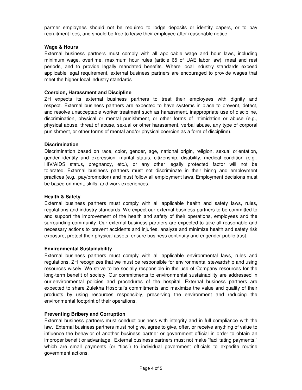partner employees should not be required to lodge deposits or identity papers, or to pay recruitment fees, and should be free to leave their employee after reasonable notice.

# **Wage & Hours**

External business partners must comply with all applicable wage and hour laws, including minimum wage, overtime, maximum hour rules (article 65 of UAE labor law), meal and rest periods, and to provide legally mandated benefits. Where local industry standards exceed applicable legal requirement, external business partners are encouraged to provide wages that meet the higher local industry standards

# **Coercion, Harassment and Discipline**

ZH expects its external business partners to treat their employees with dignity and respect. External business partners are expected to have systems in place to prevent, detect, and resolve unacceptable worker treatment such as harassment, inappropriate use of discipline, discrimination, physical or mental punishment, or other forms of intimidation or abuse (e.g., physical abuse, threat of abuse, sexual or other harassment, verbal abuse, any type of corporal punishment, or other forms of mental and/or physical coercion as a form of discipline).

# **Discrimination**

Discrimination based on race, color, gender, age, national origin, religion, sexual orientation, gender identity and expression, marital status, citizenship, disability, medical condition (e.g., HIV/AIDS status, pregnancy, etc.), or any other legally protected factor will not be tolerated. External business partners must not discriminate in their hiring and employment practices (e.g., pay/promotion) and must follow all employment laws. Employment decisions must be based on merit, skills, and work experiences.

#### **Health & Safety**

External business partners must comply with all applicable health and safety laws, rules, regulations and industry standards. We expect our external business partners to be committed to and support the improvement of the health and safety of their operations, employees and the surrounding community. Our external business partners are expected to take all reasonable and necessary actions to prevent accidents and injuries, analyze and minimize health and safety risk exposure, protect their physical assets, ensure business continuity and engender public trust.

#### **Environmental Sustainability**

External business partners must comply with all applicable environmental laws, rules and regulations. ZH recognizes that we must be responsible for environmental stewardship and using resources wisely. We strive to be socially responsible in the use of Company resources for the long-term benefit of society. Our commitments to environmental sustainability are addressed in our environmental policies and procedures of the hospital. External business partners are expected to share Zulekha Hospital's commitments and maximize the value and quality of their products by using resources responsibly, preserving the environment and reducing the environmental footprint of their operations.

#### **Preventing Bribery and Corruption**

External business partners must conduct business with integrity and in full compliance with the law. External business partners must not give, agree to give, offer, or receive anything of value to influence the behavior of another business partner or government official in order to obtain an improper benefit or advantage. External business partners must not make "facilitating payments," which are small payments (or "tips") to individual government officials to expedite routine government actions.